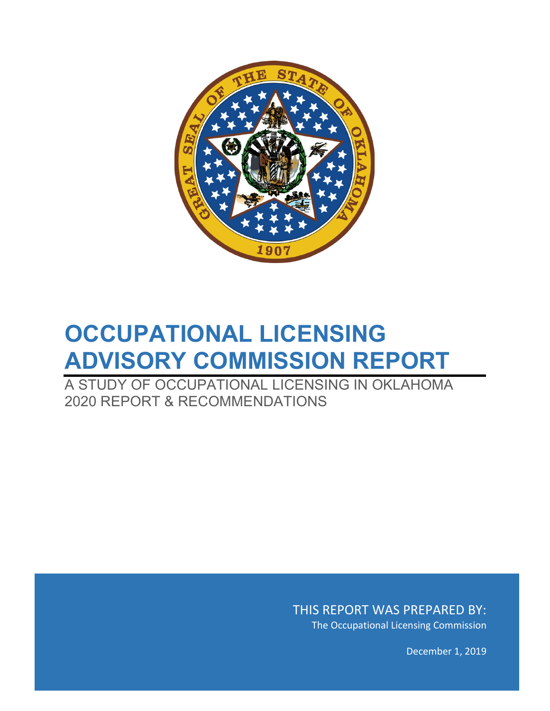

# **OCCUPATIONAL LICENSING ADVISORY COMMISSION REPORT**

A STUDY OF OCCUPATIONAL LICENSING IN OKLAHOMA 2020 REPORT & RECOMMENDATIONS

> THIS REPORT WAS PREPARED BY: The Occupational Licensing Commission

> > December 1, 2019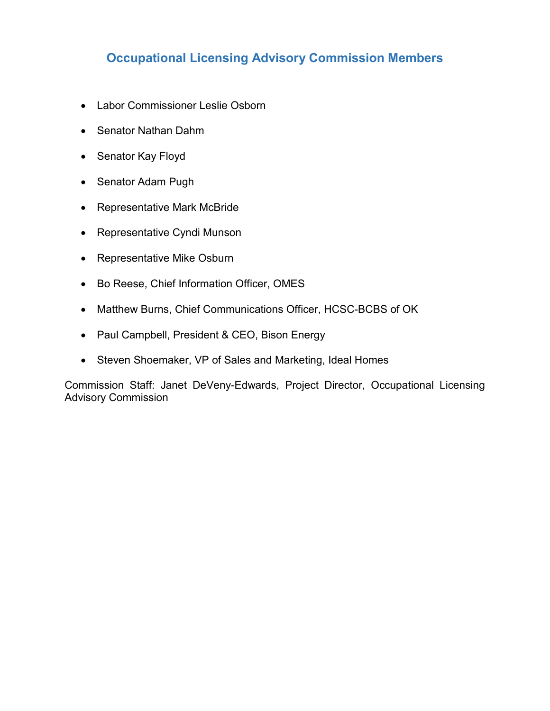## **Occupational Licensing Advisory Commission Members**

- Labor Commissioner Leslie Osborn
- Senator Nathan Dahm
- Senator Kay Floyd
- Senator Adam Pugh
- Representative Mark McBride
- Representative Cyndi Munson
- Representative Mike Osburn
- Bo Reese, Chief Information Officer, OMES
- Matthew Burns, Chief Communications Officer, HCSC-BCBS of OK
- Paul Campbell, President & CEO, Bison Energy
- Steven Shoemaker, VP of Sales and Marketing, Ideal Homes

Commission Staff: Janet DeVeny-Edwards, Project Director, Occupational Licensing Advisory Commission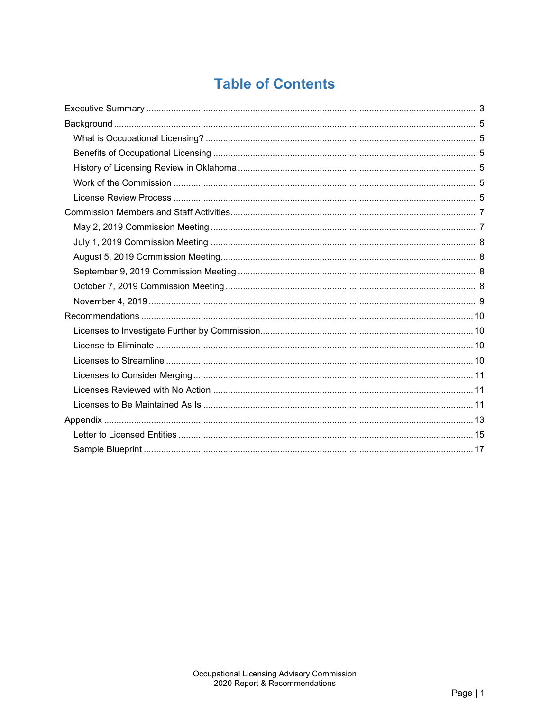## **Table of Contents**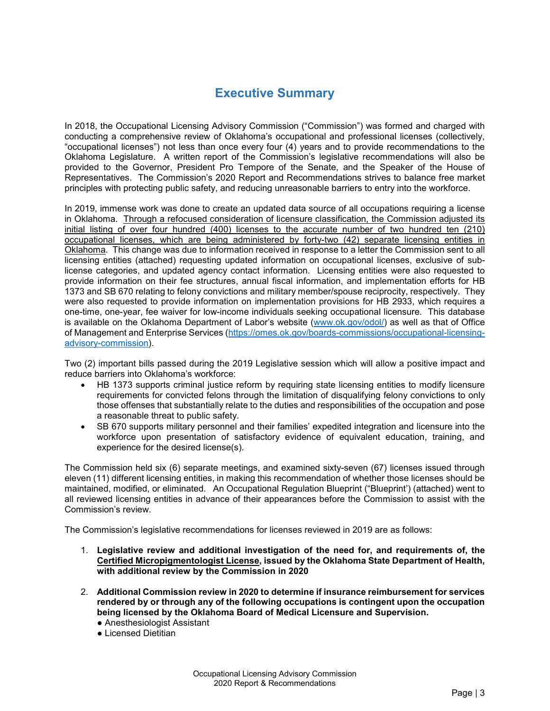## **Executive Summary**

<span id="page-4-0"></span>In 2018, the Occupational Licensing Advisory Commission ("Commission") was formed and charged with conducting a comprehensive review of Oklahoma's occupational and professional licenses (collectively, "occupational licenses") not less than once every four (4) years and to provide recommendations to the Oklahoma Legislature. A written report of the Commission's legislative recommendations will also be provided to the Governor, President Pro Tempore of the Senate, and the Speaker of the House of Representatives. The Commission's 2020 Report and Recommendations strives to balance free market principles with protecting public safety, and reducing unreasonable barriers to entry into the workforce.

In 2019, immense work was done to create an updated data source of all occupations requiring a license in Oklahoma. Through a refocused consideration of licensure classification, the Commission adjusted its initial listing of over four hundred (400) licenses to the accurate number of two hundred ten (210) occupational licenses, which are being administered by forty-two (42) separate licensing entities in Oklahoma. This change was due to information received in response to a letter the Commission sent to all licensing entities (attached) requesting updated information on occupational licenses, exclusive of sublicense categories, and updated agency contact information. Licensing entities were also requested to provide information on their fee structures, annual fiscal information, and implementation efforts for HB 1373 and SB 670 relating to felony convictions and military member/spouse reciprocity, respectively. They were also requested to provide information on implementation provisions for HB 2933, which requires a one-time, one-year, fee waiver for low-income individuals seeking occupational licensure. This database is available on the Oklahoma Department of Labor's website [\(www.ok.gov/odol/\)](http://www.ok.gov/odol/) as well as that of Office of Management and Enterprise Services [\(https://omes.ok.gov/boards-commissions/occupational-licensing](https://omes.ok.gov/boards-commissions/occupational-licensing-advisory-commission)[advisory-commission\)](https://omes.ok.gov/boards-commissions/occupational-licensing-advisory-commission).

Two (2) important bills passed during the 2019 Legislative session which will allow a positive impact and reduce barriers into Oklahoma's workforce:

- HB 1373 supports criminal justice reform by requiring state licensing entities to modify licensure requirements for convicted felons through the limitation of disqualifying felony convictions to only those offenses that substantially relate to the duties and responsibilities of the occupation and pose a reasonable threat to public safety.
- SB 670 supports military personnel and their families' expedited integration and licensure into the workforce upon presentation of satisfactory evidence of equivalent education, training, and experience for the desired license(s).

The Commission held six (6) separate meetings, and examined sixty-seven (67) licenses issued through eleven (11) different licensing entities, in making this recommendation of whether those licenses should be maintained, modified, or eliminated. An Occupational Regulation Blueprint ("Blueprint') (attached) went to all reviewed licensing entities in advance of their appearances before the Commission to assist with the Commission's review.

The Commission's legislative recommendations for licenses reviewed in 2019 are as follows:

- 1. **Legislative review and additional investigation of the need for, and requirements of, the Certified Micropigmentologist License, issued by the Oklahoma State Department of Health, with additional review by the Commission in 2020**
- 2. **Additional Commission review in 2020 to determine if insurance reimbursement for services rendered by or through any of the following occupations is contingent upon the occupation being licensed by the Oklahoma Board of Medical Licensure and Supervision.**
	- Anesthesiologist Assistant
	- Licensed Dietitian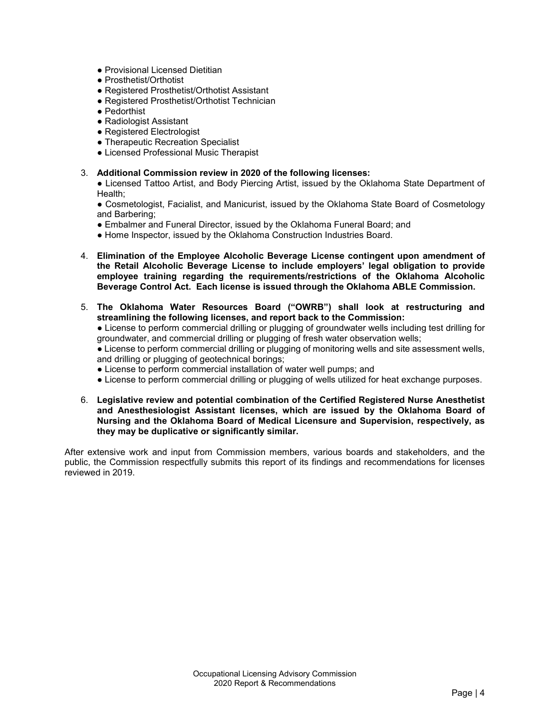- Provisional Licensed Dietitian
- Prosthetist/Orthotist
- Registered Prosthetist/Orthotist Assistant
- Registered Prosthetist/Orthotist Technician
- Pedorthist
- Radiologist Assistant
- Registered Electrologist
- Therapeutic Recreation Specialist
- Licensed Professional Music Therapist

#### 3. **Additional Commission review in 2020 of the following licenses:**

**●** Licensed Tattoo Artist, and Body Piercing Artist, issued by the Oklahoma State Department of Health;

**●** Cosmetologist, Facialist, and Manicurist, issued by the Oklahoma State Board of Cosmetology and Barbering;

- Embalmer and Funeral Director, issued by the Oklahoma Funeral Board; and
- Home Inspector, issued by the Oklahoma Construction Industries Board.
- 4. **Elimination of the Employee Alcoholic Beverage License contingent upon amendment of the Retail Alcoholic Beverage License to include employers' legal obligation to provide employee training regarding the requirements/restrictions of the Oklahoma Alcoholic Beverage Control Act. Each license is issued through the Oklahoma ABLE Commission.**
- 5. **The Oklahoma Water Resources Board ("OWRB") shall look at restructuring and streamlining the following licenses, and report back to the Commission:**

● License to perform commercial drilling or plugging of groundwater wells including test drilling for groundwater, and commercial drilling or plugging of fresh water observation wells;

● License to perform commercial drilling or plugging of monitoring wells and site assessment wells, and drilling or plugging of geotechnical borings;

- License to perform commercial installation of water well pumps; and
- License to perform commercial drilling or plugging of wells utilized for heat exchange purposes.
- 6. **Legislative review and potential combination of the Certified Registered Nurse Anesthetist and Anesthesiologist Assistant licenses, which are issued by the Oklahoma Board of Nursing and the Oklahoma Board of Medical Licensure and Supervision, respectively, as they may be duplicative or significantly similar.**

After extensive work and input from Commission members, various boards and stakeholders, and the public, the Commission respectfully submits this report of its findings and recommendations for licenses reviewed in 2019.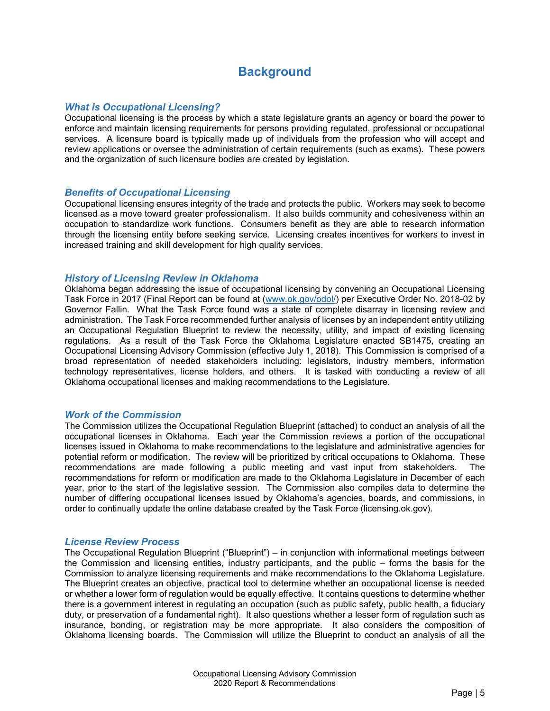## **Background**

#### <span id="page-6-1"></span><span id="page-6-0"></span>*What is Occupational Licensing?*

Occupational licensing is the process by which a state legislature grants an agency or board the power to enforce and maintain licensing requirements for persons providing regulated, professional or occupational services. A licensure board is typically made up of individuals from the profession who will accept and review applications or oversee the administration of certain requirements (such as exams). These powers and the organization of such licensure bodies are created by legislation.

#### <span id="page-6-2"></span>*Benefits of Occupational Licensing*

Occupational licensing ensures integrity of the trade and protects the public. Workers may seek to become licensed as a move toward greater professionalism. It also builds community and cohesiveness within an occupation to standardize work functions. Consumers benefit as they are able to research information through the licensing entity before seeking service. Licensing creates incentives for workers to invest in increased training and skill development for high quality services.

#### <span id="page-6-3"></span>*History of Licensing Review in Oklahoma*

Oklahoma began addressing the issue of occupational licensing by convening an Occupational Licensing Task Force in 2017 (Final Report can be found at [\(www.ok.gov/odol/\)](http://www.ok.gov/odol/) per Executive Order No. 2018-02 by Governor Fallin. What the Task Force found was a state of complete disarray in licensing review and administration. The Task Force recommended further analysis of licenses by an independent entity utilizing an Occupational Regulation Blueprint to review the necessity, utility, and impact of existing licensing regulations. As a result of the Task Force the Oklahoma Legislature enacted SB1475, creating an Occupational Licensing Advisory Commission (effective July 1, 2018). This Commission is comprised of a broad representation of needed stakeholders including: legislators, industry members, information technology representatives, license holders, and others. It is tasked with conducting a review of all Oklahoma occupational licenses and making recommendations to the Legislature.

#### <span id="page-6-4"></span>*Work of the Commission*

The Commission utilizes the Occupational Regulation Blueprint (attached) to conduct an analysis of all the occupational licenses in Oklahoma. Each year the Commission reviews a portion of the occupational licenses issued in Oklahoma to make recommendations to the legislature and administrative agencies for potential reform or modification. The review will be prioritized by critical occupations to Oklahoma. These recommendations are made following a public meeting and vast input from stakeholders. The recommendations for reform or modification are made to the Oklahoma Legislature in December of each year, prior to the start of the legislative session. The Commission also compiles data to determine the number of differing occupational licenses issued by Oklahoma's agencies, boards, and commissions, in order to continually update the online database created by the Task Force (licensing.ok.gov).

#### <span id="page-6-5"></span>*License Review Process*

The Occupational Regulation Blueprint ("Blueprint") – in conjunction with informational meetings between the Commission and licensing entities, industry participants, and the public – forms the basis for the Commission to analyze licensing requirements and make recommendations to the Oklahoma Legislature. The Blueprint creates an objective, practical tool to determine whether an occupational license is needed or whether a lower form of regulation would be equally effective. It contains questions to determine whether there is a government interest in regulating an occupation (such as public safety, public health, a fiduciary duty, or preservation of a fundamental right). It also questions whether a lesser form of regulation such as insurance, bonding, or registration may be more appropriate. It also considers the composition of Oklahoma licensing boards. The Commission will utilize the Blueprint to conduct an analysis of all the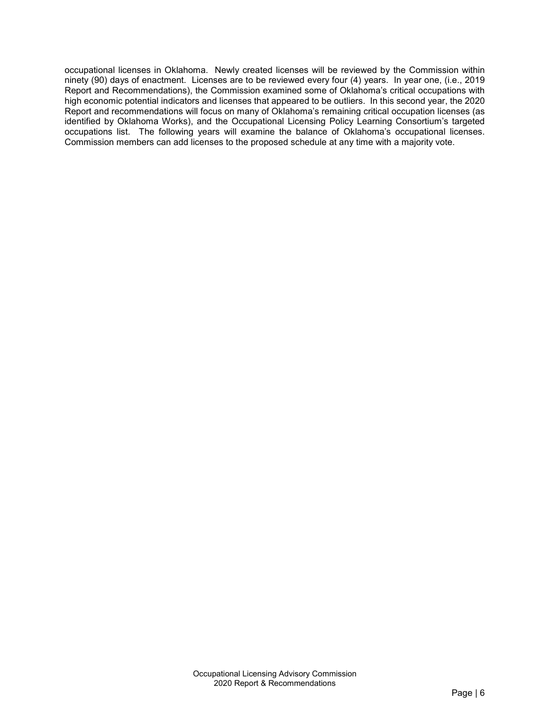occupational licenses in Oklahoma. Newly created licenses will be reviewed by the Commission within ninety (90) days of enactment. Licenses are to be reviewed every four (4) years. In year one, (i.e., 2019 Report and Recommendations), the Commission examined some of Oklahoma's critical occupations with high economic potential indicators and licenses that appeared to be outliers. In this second year, the 2020 Report and recommendations will focus on many of Oklahoma's remaining critical occupation licenses (as identified by Oklahoma Works), and the Occupational Licensing Policy Learning Consortium's targeted occupations list. The following years will examine the balance of Oklahoma's occupational licenses. Commission members can add licenses to the proposed schedule at any time with a majority vote.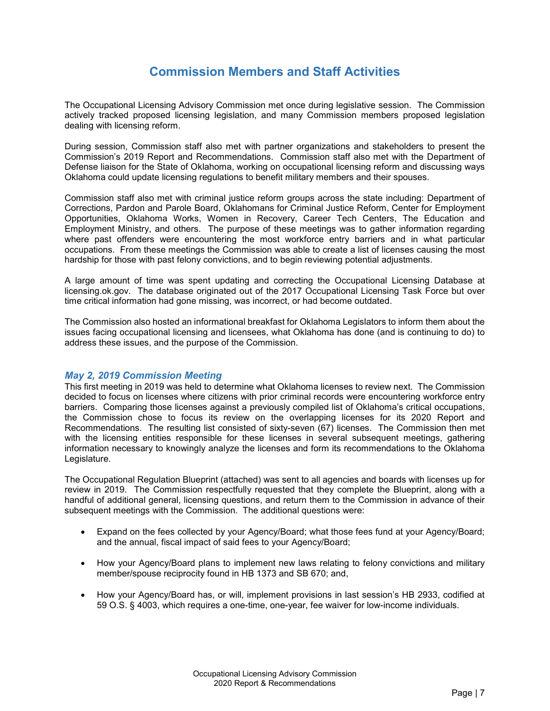## **Commission Members and Staff Activities**

<span id="page-8-0"></span>The Occupational Licensing Advisory Commission met once during legislative session. The Commission actively tracked proposed licensing legislation, and many Commission members proposed legislation dealing with licensing reform.

During session, Commission staff also met with partner organizations and stakeholders to present the Commission's 2019 Report and Recommendations. Commission staff also met with the Department of Defense liaison for the State of Oklahoma, working on occupational licensing reform and discussing ways Oklahoma could update licensing regulations to benefit military members and their spouses.

Commission staff also met with criminal justice reform groups across the state including: Department of Corrections, Pardon and Parole Board, Oklahomans for Criminal Justice Reform, Center for Employment Opportunities, Oklahoma Works, Women in Recovery, Career Tech Centers, The Education and Employment Ministry, and others. The purpose of these meetings was to gather information regarding where past offenders were encountering the most workforce entry barriers and in what particular occupations. From these meetings the Commission was able to create a list of licenses causing the most hardship for those with past felony convictions, and to begin reviewing potential adjustments.

A large amount of time was spent updating and correcting the Occupational Licensing Database at licensing.ok.gov. The database originated out of the 2017 Occupational Licensing Task Force but over time critical information had gone missing, was incorrect, or had become outdated.

The Commission also hosted an informational breakfast for Oklahoma Legislators to inform them about the issues facing occupational licensing and licensees, what Oklahoma has done (and is continuing to do) to address these issues, and the purpose of the Commission.

#### <span id="page-8-1"></span>*May 2, 2019 Commission Meeting*

This first meeting in 2019 was held to determine what Oklahoma licenses to review next. The Commission decided to focus on licenses where citizens with prior criminal records were encountering workforce entry barriers. Comparing those licenses against a previously compiled list of Oklahoma's critical occupations, the Commission chose to focus its review on the overlapping licenses for its 2020 Report and Recommendations. The resulting list consisted of sixty-seven (67) licenses. The Commission then met with the licensing entities responsible for these licenses in several subsequent meetings, gathering information necessary to knowingly analyze the licenses and form its recommendations to the Oklahoma Legislature.

The Occupational Regulation Blueprint (attached) was sent to all agencies and boards with licenses up for review in 2019. The Commission respectfully requested that they complete the Blueprint, along with a handful of additional general, licensing questions, and return them to the Commission in advance of their subsequent meetings with the Commission. The additional questions were:

- Expand on the fees collected by your Agency/Board; what those fees fund at your Agency/Board; and the annual, fiscal impact of said fees to your Agency/Board;
- How your Agency/Board plans to implement new laws relating to felony convictions and military member/spouse reciprocity found in HB 1373 and SB 670; and,
- How your Agency/Board has, or will, implement provisions in last session's HB 2933, codified at 59 O.S. § 4003, which requires a one-time, one-year, fee waiver for low-income individuals.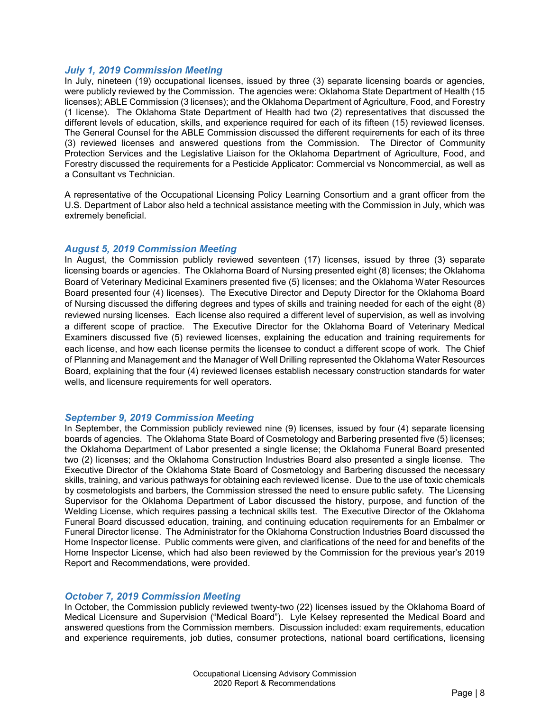#### <span id="page-9-0"></span>*July 1, 2019 Commission Meeting*

In July, nineteen (19) occupational licenses, issued by three (3) separate licensing boards or agencies, were publicly reviewed by the Commission. The agencies were: Oklahoma State Department of Health (15 licenses); ABLE Commission (3 licenses); and the Oklahoma Department of Agriculture, Food, and Forestry (1 license). The Oklahoma State Department of Health had two (2) representatives that discussed the different levels of education, skills, and experience required for each of its fifteen (15) reviewed licenses. The General Counsel for the ABLE Commission discussed the different requirements for each of its three (3) reviewed licenses and answered questions from the Commission. The Director of Community Protection Services and the Legislative Liaison for the Oklahoma Department of Agriculture, Food, and Forestry discussed the requirements for a Pesticide Applicator: Commercial vs Noncommercial, as well as a Consultant vs Technician.

A representative of the Occupational Licensing Policy Learning Consortium and a grant officer from the U.S. Department of Labor also held a technical assistance meeting with the Commission in July, which was extremely beneficial.

#### <span id="page-9-1"></span>*August 5, 2019 Commission Meeting*

In August, the Commission publicly reviewed seventeen (17) licenses, issued by three (3) separate licensing boards or agencies. The Oklahoma Board of Nursing presented eight (8) licenses; the Oklahoma Board of Veterinary Medicinal Examiners presented five (5) licenses; and the Oklahoma Water Resources Board presented four (4) licenses). The Executive Director and Deputy Director for the Oklahoma Board of Nursing discussed the differing degrees and types of skills and training needed for each of the eight (8) reviewed nursing licenses. Each license also required a different level of supervision, as well as involving a different scope of practice. The Executive Director for the Oklahoma Board of Veterinary Medical Examiners discussed five (5) reviewed licenses, explaining the education and training requirements for each license, and how each license permits the licensee to conduct a different scope of work. The Chief of Planning and Management and the Manager of Well Drilling represented the Oklahoma Water Resources Board, explaining that the four (4) reviewed licenses establish necessary construction standards for water wells, and licensure requirements for well operators.

#### <span id="page-9-2"></span>*September 9, 2019 Commission Meeting*

In September, the Commission publicly reviewed nine (9) licenses, issued by four (4) separate licensing boards of agencies. The Oklahoma State Board of Cosmetology and Barbering presented five (5) licenses; the Oklahoma Department of Labor presented a single license; the Oklahoma Funeral Board presented two (2) licenses; and the Oklahoma Construction Industries Board also presented a single license. The Executive Director of the Oklahoma State Board of Cosmetology and Barbering discussed the necessary skills, training, and various pathways for obtaining each reviewed license. Due to the use of toxic chemicals by cosmetologists and barbers, the Commission stressed the need to ensure public safety. The Licensing Supervisor for the Oklahoma Department of Labor discussed the history, purpose, and function of the Welding License, which requires passing a technical skills test. The Executive Director of the Oklahoma Funeral Board discussed education, training, and continuing education requirements for an Embalmer or Funeral Director license. The Administrator for the Oklahoma Construction Industries Board discussed the Home Inspector license. Public comments were given, and clarifications of the need for and benefits of the Home Inspector License, which had also been reviewed by the Commission for the previous year's 2019 Report and Recommendations, were provided.

#### <span id="page-9-3"></span>*October 7, 2019 Commission Meeting*

In October, the Commission publicly reviewed twenty-two (22) licenses issued by the Oklahoma Board of Medical Licensure and Supervision ("Medical Board"). Lyle Kelsey represented the Medical Board and answered questions from the Commission members. Discussion included: exam requirements, education and experience requirements, job duties, consumer protections, national board certifications, licensing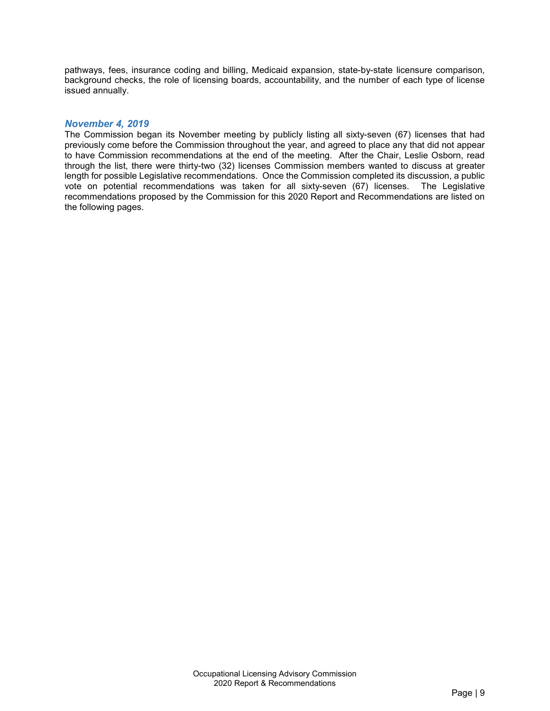pathways, fees, insurance coding and billing, Medicaid expansion, state-by-state licensure comparison, background checks, the role of licensing boards, accountability, and the number of each type of license issued annually.

#### <span id="page-10-0"></span>*November 4, 2019*

The Commission began its November meeting by publicly listing all sixty-seven (67) licenses that had previously come before the Commission throughout the year, and agreed to place any that did not appear to have Commission recommendations at the end of the meeting. After the Chair, Leslie Osborn, read through the list, there were thirty-two (32) licenses Commission members wanted to discuss at greater length for possible Legislative recommendations. Once the Commission completed its discussion, a public vote on potential recommendations was taken for all sixty-seven (67) licenses. The Legislative recommendations proposed by the Commission for this 2020 Report and Recommendations are listed on the following pages.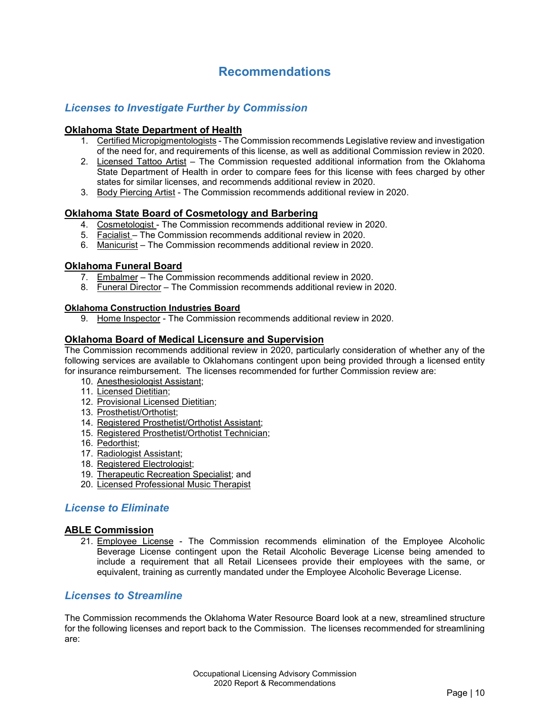## **Recommendations**

#### <span id="page-11-1"></span><span id="page-11-0"></span>*Licenses to Investigate Further by Commission*

#### **Oklahoma State Department of Health**

- 1. Certified Micropigmentologists The Commission recommends Legislative review and investigation of the need for, and requirements of this license, as well as additional Commission review in 2020.
- 2. Licensed Tattoo Artist The Commission requested additional information from the Oklahoma State Department of Health in order to compare fees for this license with fees charged by other states for similar licenses, and recommends additional review in 2020.
- 3. Body Piercing Artist The Commission recommends additional review in 2020.

#### **Oklahoma State Board of Cosmetology and Barbering**

- 4. Cosmetologist The Commission recommends additional review in 2020.
- 5. Facialist The Commission recommends additional review in 2020.
- 6. Manicurist The Commission recommends additional review in 2020.

#### **Oklahoma Funeral Board**

- 7. Embalmer The Commission recommends additional review in 2020.
- 8. Funeral Director The Commission recommends additional review in 2020.

#### **Oklahoma Construction Industries Board**

9. Home Inspector - The Commission recommends additional review in 2020.

#### **Oklahoma Board of Medical Licensure and Supervision**

The Commission recommends additional review in 2020, particularly consideration of whether any of the following services are available to Oklahomans contingent upon being provided through a licensed entity for insurance reimbursement. The licenses recommended for further Commission review are:

- 10. Anesthesiologist Assistant;
- 11. Licensed Dietitian;
- 12. Provisional Licensed Dietitian;
- 13. Prosthetist/Orthotist;
- 14. Registered Prosthetist/Orthotist Assistant;
- 15. Registered Prosthetist/Orthotist Technician;
- 16. Pedorthist;
- 17. Radiologist Assistant;
- 18. Registered Electrologist;
- 19. Therapeutic Recreation Specialist; and
- 20. Licensed Professional Music Therapist

#### <span id="page-11-2"></span>*License to Eliminate*

#### **ABLE Commission**

21. Employee License - The Commission recommends elimination of the Employee Alcoholic Beverage License contingent upon the Retail Alcoholic Beverage License being amended to include a requirement that all Retail Licensees provide their employees with the same, or equivalent, training as currently mandated under the Employee Alcoholic Beverage License.

#### <span id="page-11-3"></span>*Licenses to Streamline*

The Commission recommends the Oklahoma Water Resource Board look at a new, streamlined structure for the following licenses and report back to the Commission. The licenses recommended for streamlining are: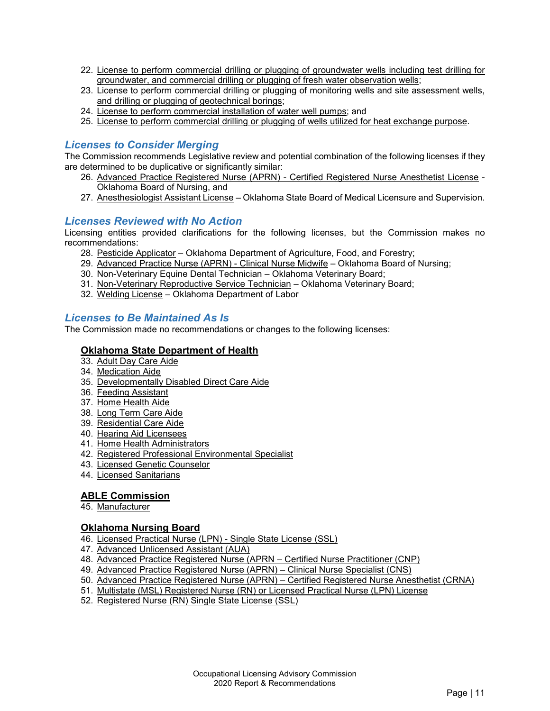- 22. License to perform commercial drilling or plugging of groundwater wells including test drilling for groundwater, and commercial drilling or plugging of fresh water observation wells;
- 23. License to perform commercial drilling or plugging of monitoring wells and site assessment wells, and drilling or plugging of geotechnical borings;
- 24. License to perform commercial installation of water well pumps; and
- 25. License to perform commercial drilling or plugging of wells utilized for heat exchange purpose.

#### <span id="page-12-0"></span>*Licenses to Consider Merging*

The Commission recommends Legislative review and potential combination of the following licenses if they are determined to be duplicative or significantly similar:

- 26. Advanced Practice Registered Nurse (APRN) Certified Registered Nurse Anesthetist License Oklahoma Board of Nursing, and
- 27. Anesthesiologist Assistant License Oklahoma State Board of Medical Licensure and Supervision.

#### <span id="page-12-1"></span>*Licenses Reviewed with No Action*

Licensing entities provided clarifications for the following licenses, but the Commission makes no recommendations:

- 28. Pesticide Applicator Oklahoma Department of Agriculture, Food, and Forestry;
- 29. Advanced Practice Nurse (APRN) Clinical Nurse Midwife Oklahoma Board of Nursing;
- 30. Non-Veterinary Equine Dental Technician Oklahoma Veterinary Board;
- 31. Non-Veterinary Reproductive Service Technician Oklahoma Veterinary Board;
- 32. Welding License Oklahoma Department of Labor

#### <span id="page-12-2"></span>*Licenses to Be Maintained As Is*

The Commission made no recommendations or changes to the following licenses:

#### **Oklahoma State Department of Health**

- 33. Adult Day Care Aide
- 34. Medication Aide
- 35. Developmentally Disabled Direct Care Aide
- 36. Feeding Assistant
- 37. Home Health Aide
- 38. Long Term Care Aide
- 39. Residential Care Aide
- 40. Hearing Aid Licensees
- 41. Home Health Administrators
- 42. Registered Professional Environmental Specialist
- 43. Licensed Genetic Counselor
- 44. Licensed Sanitarians

#### **ABLE Commission**

45. Manufacturer

#### **Oklahoma Nursing Board**

- 46. Licensed Practical Nurse (LPN) Single State License (SSL)
- 47. Advanced Unlicensed Assistant (AUA)
- 48. Advanced Practice Registered Nurse (APRN Certified Nurse Practitioner (CNP)
- 49. Advanced Practice Registered Nurse (APRN) Clinical Nurse Specialist (CNS)
- 50. Advanced Practice Registered Nurse (APRN) Certified Registered Nurse Anesthetist (CRNA)
- 51. Multistate (MSL) Registered Nurse (RN) or Licensed Practical Nurse (LPN) License
- 52. Registered Nurse (RN) Single State License (SSL)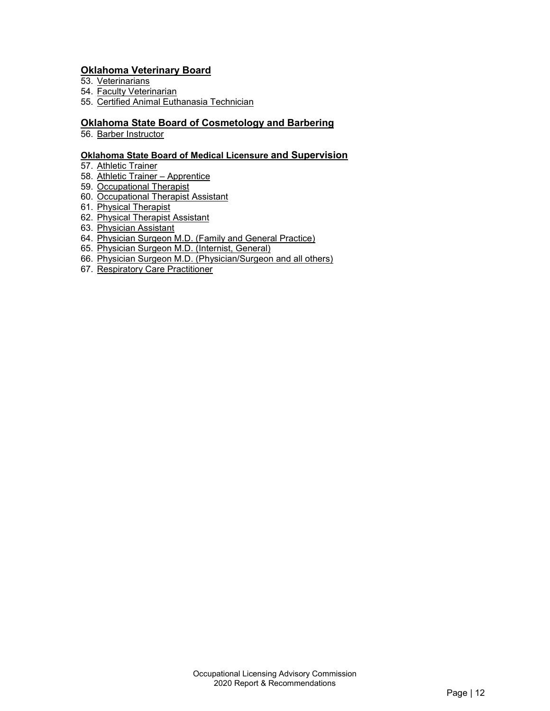#### **Oklahoma Veterinary Board**

- 53. <u>Veterinarians</u>
- 54. Faculty Veterinarian
- 55. Certified Animal Euthanasia Technician

#### **Oklahoma State Board of Cosmetology and Barbering**

56. Barber Instructor

#### **Oklahoma State Board of Medical Licensure and Supervision**

- 57. Athletic Trainer
- 58. Athletic Trainer Apprentice
- 59. Occupational Therapist
- 60. Occupational Therapist Assistant
- 61. Physical Therapist
- 62. Physical Therapist Assistant
- 63. Physician Assistant
- 64. Physician Surgeon M.D. (Family and General Practice)
- 65. Physician Surgeon M.D. (Internist, General)
- 66. Physician Surgeon M.D. (Physician/Surgeon and all others)
- 67. Respiratory Care Practitioner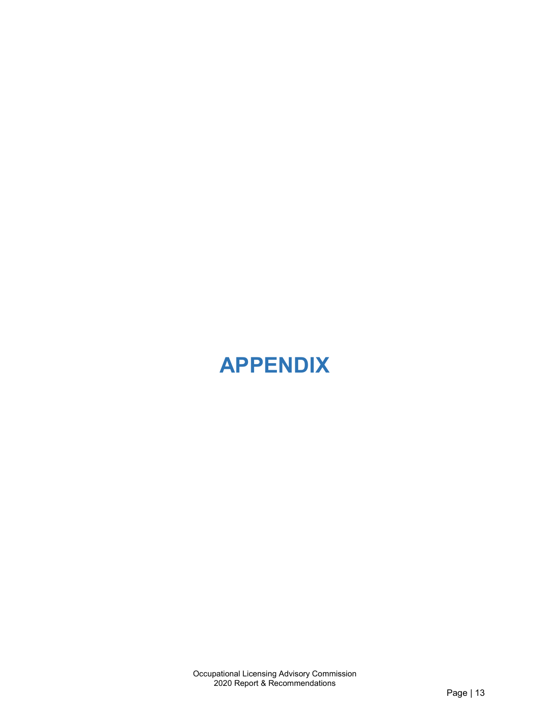## <span id="page-14-0"></span>**APPENDIX**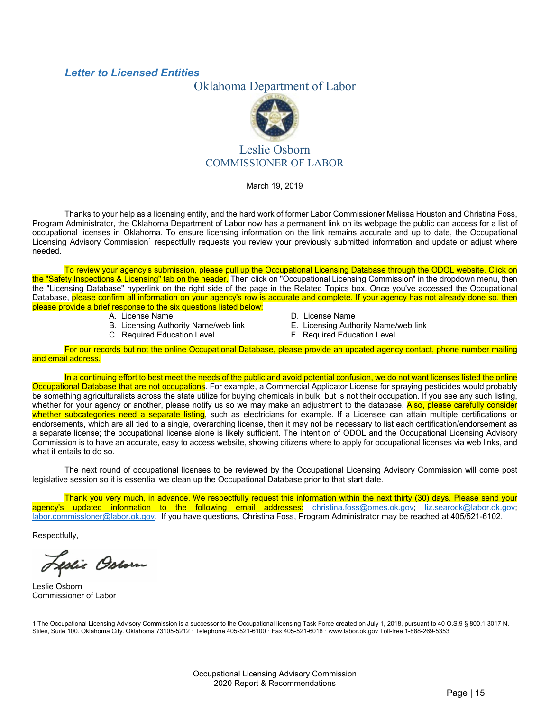#### <span id="page-16-0"></span>*Letter to Licensed Entities*

#### Oklahoma Department of Labor



#### Leslie Osborn COMMISSIONER OF LABOR

March 19, 2019

Thanks to your help as a licensing entity, and the hard work of former Labor Commissioner Melissa Houston and Christina Foss, Program Administrator, the Oklahoma Department of Labor now has a permanent link on its webpage the public can access for a list of occupational licenses in Oklahoma. To ensure licensing information on the link remains accurate and up to date, the Occupational Licensing Advisory Commission<sup>1</sup> respectfully requests you review your previously submitted information and update or adjust where needed.

To review your agency's submission, please pull up the Occupational Licensing Database through the ODOL website. Click on the "Safety Inspections & Licensing" tab on the header. Then click on "Occupational Licensing Commission" in the dropdown menu, then the "Licensing Database" hyperlink on the right side of the page in the Related Topics box. Once you've accessed the Occupational Database, please confirm all information on your agency's row is accurate and complete. If your agency has not already done so, then please provide a brief response to the six questions listed below:

A. License Name

B. Licensing Authority Name/web link

C. Required Education Level

- D. License Name
- E. Licensing Authority Name/web link
- F. Required Education Level

For our records but not the online Occupational Database, please provide an updated agency contact, phone number mailing and email address.

In a continuing effort to best meet the needs of the public and avoid potential confusion, we do not want licenses listed the online Occupational Database that are not occupations. For example, a Commercial Applicator License for spraying pesticides would probably be something agriculturalists across the state utilize for buying chemicals in bulk, but is not their occupation. If you see any such listing, whether for your agency or another, please notify us so we may make an adjustment to the database. Also, please carefully consider whether subcategories need a separate listing, such as electricians for example. If a Licensee can attain multiple certifications or endorsements, which are all tied to a single, overarching license, then it may not be necessary to list each certification/endorsement as a separate license; the occupational license alone is likely sufficient. The intention of ODOL and the Occupational Licensing Advisory Commission is to have an accurate, easy to access website, showing citizens where to apply for occupational licenses via web links, and what it entails to do so.

The next round of occupational licenses to be reviewed by the Occupational Licensing Advisory Commission will come post legislative session so it is essential we clean up the Occupational Database prior to that start date.

Thank you very much, in advance. We respectfully request this information within the next thirty (30) days. Please send your agency's updated information to the following email addresses: <u>[christina.foss@omes.ok.gov;](mailto:christina.foss@omes.ok.gov) liz.searock@labor.ok.gov</u>; [labor.commissloner@labor.ok.gov.](mailto:labor.commissloner@labor.ok.gov) If you have questions, Christina Foss, Program Administrator may be reached at 405/521-6102.

Respectfully,

fslie Ostorn

Leslie Osborn Commissioner of Labor

1 The Occupational Licensing Advisory Commission is a successor to the Occupational licensing Task Force created on July 1, 2018, pursuant to 40 O.S.9 § 800.1 3017 N. Stiles, Suite 100. Oklahoma City. Oklahoma 73105-5212 · Telephone 405-521-6100 · Fax 405-521-6018 · www.labor.ok.gov Toll-free 1-888-269-5353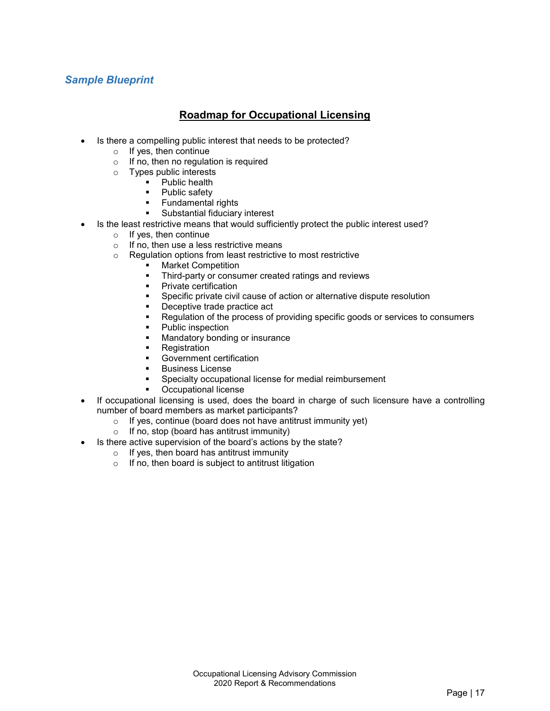### <span id="page-18-0"></span>*Sample Blueprint*

### **Roadmap for Occupational Licensing**

- Is there a compelling public interest that needs to be protected?
	- $\circ$  If yes, then continue
	- o If no, then no regulation is required
	- o Types public interests
		- **•** Public health
		- Public safety
		- Fundamental rights
		- Substantial fiduciary interest
- Is the least restrictive means that would sufficiently protect the public interest used?
	- o If yes, then continue
	- $\circ$  If no, then use a less restrictive means
	- o Regulation options from least restrictive to most restrictive
		- Market Competition<br>■ Third-party or consul
		- Third-party or consumer created ratings and reviews
		- **•** Private certification
		- Specific private civil cause of action or alternative dispute resolution
		- Deceptive trade practice act
		- Regulation of the process of providing specific goods or services to consumers
		- Public inspection
		- **Mandatory bonding or insurance**
		- **Registration**
		- Government certification
		- Business License
		- Specialty occupational license for medial reimbursement
		- Occupational license
- If occupational licensing is used, does the board in charge of such licensure have a controlling number of board members as market participants?
	- $\circ$  If yes, continue (board does not have antitrust immunity yet)
	- o If no, stop (board has antitrust immunity)
	- Is there active supervision of the board's actions by the state?
		- o If yes, then board has antitrust immunity
		- o If no, then board is subject to antitrust litigation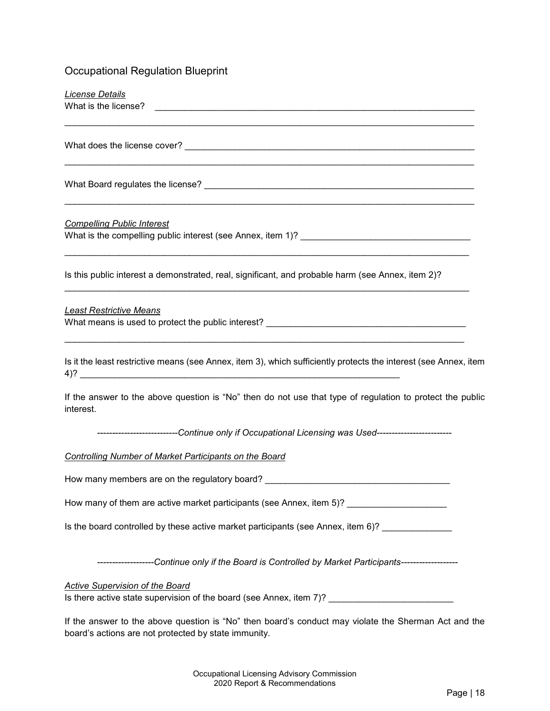## Occupational Regulation Blueprint

| License Details                                                                                                                                |
|------------------------------------------------------------------------------------------------------------------------------------------------|
|                                                                                                                                                |
|                                                                                                                                                |
|                                                                                                                                                |
| <b>Compelling Public Interest</b>                                                                                                              |
| Is this public interest a demonstrated, real, significant, and probable harm (see Annex, item 2)?                                              |
| <b>Least Restrictive Means</b><br>What means is used to protect the public interest? _____________________________                             |
| Is it the least restrictive means (see Annex, item 3), which sufficiently protects the interest (see Annex, item                               |
| If the answer to the above question is "No" then do not use that type of regulation to protect the public<br>interest.                         |
| ---------------------------Continue only if Occupational Licensing was Used------------------------                                            |
| <b>Controlling Number of Market Participants on the Board</b>                                                                                  |
| How many members are on the regulatory board?                                                                                                  |
| How many of them are active market participants (see Annex, item 5)? ___________________                                                       |
| Is the board controlled by these active market participants (see Annex, item 6)? __________________                                            |
| -------------------Continue only if the Board is Controlled by Market Participants------------------                                           |
| <b>Active Supervision of the Board</b><br>Is there active state supervision of the board (see Annex, item 7)? ________________________________ |
|                                                                                                                                                |

If the answer to the above question is "No" then board's conduct may violate the Sherman Act and the board's actions are not protected by state immunity.